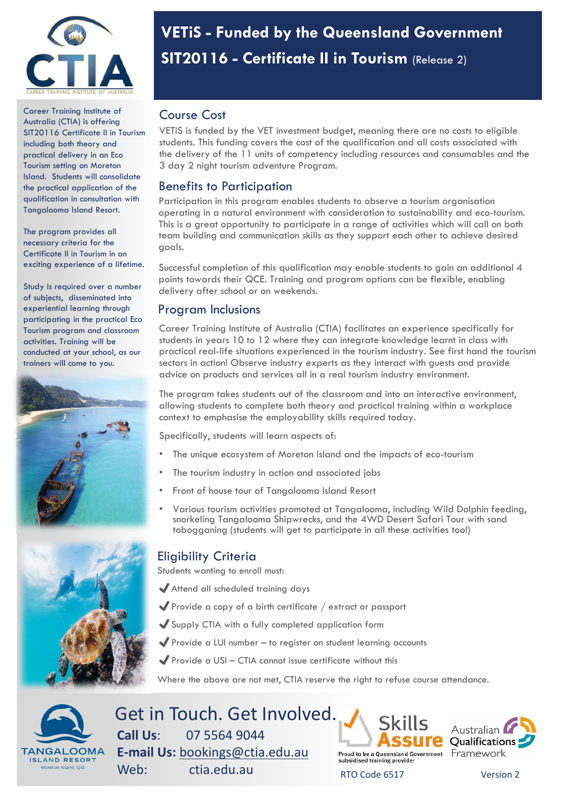

Career Training Institute of Australia (CTIA) is offering SIT20116 Certificate II in Tourism including both theory and practical delivery in an Eco Tourism setting on Moreton Island. Students will consolidate the practical application of the qualification in consultation with Tangalooma Island Resort.

The program provides all necessary criteria for the Certificate II in Tourism in an exciting experience of a lifetime.

Study is required over a number of subjects, disseminated into experiential learning through participating in the practical Eco Tourism program and classroom activities. Training will be conducted at your school, as our trainers will come to you.





# **VETiS - Funded by the Queensland Government SIT20116 - Certificate II in Tourism** (Release 2)

## Course Cost

VETiS is funded by the VET investment budget, meaning there are no costs to eligible students. This funding covers the cost of the qualification and all costs associated with the delivery of the 11 units of competency including resources and consumables and the 3 day 2 night tourism adventure Program.

### Benefits to Participation

Participation in this program enables students to observe a tourism organisation operating in a natural environment with consideration to sustainability and eco-tourism. This is a great opportunity to participate in a range of activities which will call on both team building and communication skills as they support each other to achieve desired goals.

Successful completion of this qualification may enable students to gain an additional 4 points towards their QCE. Training and program options can be flexible, enabling delivery after school or on weekends.

## Program Inclusions

Career Training Institute of Australia (CTIA) facilitates an experience specifically for students in years 10 to 12 where they can integrate knowledge learnt in class with practical real-life situations experienced in the tourism industry. See first hand the tourism sectors in action! Observe industry experts as they interact with guests and provide advice on products and services all in a real tourism industry environment.

The program takes students out of the classroom and into an interactive environment, allowing students to complete both theory and practical training within a workplace context to emphasise the employability skills required today.

Specifically, students will learn aspects of:

- The unique ecosystem of Moreton Island and the impacts of eco-tourism
- The tourism industry in action and associated jobs
- Front of house tour of Tangalooma Island Resort
- Various tourism activities promoted at Tangalooma, including Wild Dolphin feeding, snorkeling Tangalooma Shipwrecks, and the 4WD Desert Safari Tour with sand tobogganing (students will get to participate in all these activities too!)

## Eligibility Criteria

Students wanting to enroll must:

- ✔Attend all scheduled training days
- ✔Provide a copy of a birth certificate / extract or passport
- ✔Supply CTIA with a fully completed application form
- $\blacktriangledown$  Provide a LUI number to register on student learning accounts
- $\blacktriangleright$  Provide a USI CTIA cannot issue certificate without this

Where the above are not met, CTIA reserve the right to refuse course attendance.



Get in Touch. Get Involved. **Call Us**: 07 5564 9044 **E‐mail Us:** bookings@ctia.edu.au Web: ctia.edu.au RTO Code 6517 Version 2